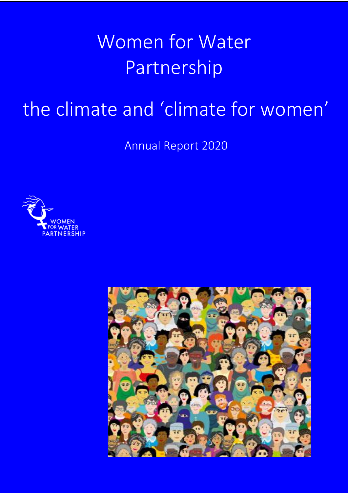# Women for Water Partnership

## the climate and 'climate for women'

Annual Report 2020



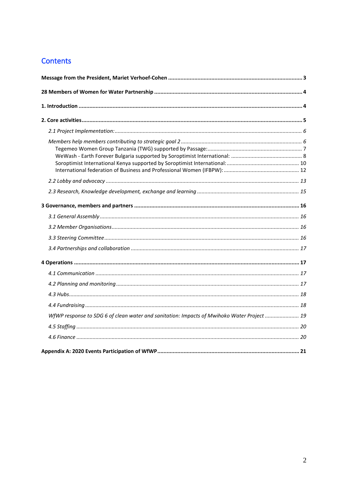### **Contents**

| WfWP response to SDG 6 of clean water and sanitation: Impacts of Mwihoko Water Project  19 |  |
|--------------------------------------------------------------------------------------------|--|
|                                                                                            |  |
|                                                                                            |  |
|                                                                                            |  |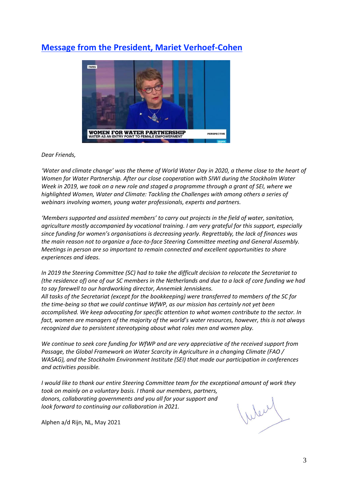## <span id="page-2-0"></span>**Message from the President, Mariet Verhoef-Cohen**



#### *Dear Friends,*

*'Water and climate change' was the theme of World Water Day in 2020, a theme close to the heart of Women for Water Partnership. After our close cooperation with SIWI during the Stockholm Water Week in 2019, we took on a new role and staged a programme through a grant of SEI, where we highlighted Women, Water and Climate: Tackling the Challenges with among others a series of webinars involving women, young water professionals, experts and partners.* 

*'Members supported and assisted members' to carry out projects in the field of water, sanitation, agriculture mostly accompanied by vocational training. I am very grateful for this support, especially since funding for women's organisations is decreasing yearly. Regrettably, the lack of finances was the main reason not to organize a face-to-face Steering Committee meeting and General Assembly. Meetings in person are so important to remain connected and excellent opportunities to share experiences and ideas.*

*In 2019 the Steering Committee (SC) had to take the difficult decision to relocate the Secretariat to (the residence of) one of our SC members in the Netherlands and due to a lack of core funding we had to say farewell to our hardworking director, Annemiek Jenniskens.* 

*All tasks of the Secretariat (except for the bookkeeping) were transferred to members of the SC for the time-being so that we could continue WfWP, as our mission has certainly not yet been accomplished. We keep advocating for specific attention to what women contribute to the sector. In fact, women are managers of the majority of the world's water resources, however, this is not always recognized due to persistent stereotyping about what roles men and women play.* 

*We continue to seek core funding for WfWP and are very appreciative of the received support from Passage, the Global Framework on Water Scarcity in Agriculture in a changing Climate (FAO / WASAG), and the Stockholm Environment Institute (SEI) that made our participation in conferences and activities possible.* 

*I would like to thank our entire Steering Committee team for the exceptional amount of work they took on mainly on a voluntary basis. I thank our members, partners, donors, collaborating governments and you all for your support and look forward to continuing our collaboration in 2021.*

Alphen a/d Rijn, NL, May 2021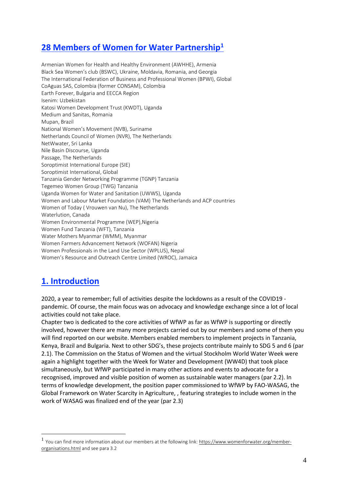## <span id="page-3-0"></span>**28 Members of Women for Water Partnership<sup>1</sup>**

Armenian Women for Health and Healthy Environment (AWHHE), Armenia Black Sea Women's club (BSWC), Ukraine, Moldavia, Romania, and Georgia The International Federation of Business and Professional Women (BPWI), Global CoAguas SAS, Colombia (former CONSAM), Colombia Earth Forever, Bulgaria and EECCA Region Isenim: Uzbekistan Katosi Women Development Trust (KWDT), Uganda Medium and Sanitas, Romania Mupan, Brazil National Women's Movement (NVB), Suriname Netherlands Council of Women (NVR), The Netherlands NetWwater, Sri Lanka Nile Basin Discourse, Uganda Passage, The Netherlands Soroptimist International Europe (SIE) Soroptimist International, Global Tanzania Gender Networking Programme (TGNP) Tanzania Tegemeo Women Group (TWG) Tanzania Uganda Women for Water and Sanitation (UWWS), Uganda Women and Labour Market Foundation (VAM) The Netherlands and ACP countries Women of Today ( Vrouwen van Nu), The Netherlands Waterlution, Canada Women Environmental Programme (WEP),Nigeria Women Fund Tanzania (WFT), Tanzania Water Mothers Myanmar (WMM), Myanmar Women Farmers Advancement Network (WOFAN) Nigeria Women Professionals in the Land Use Sector (WPLUS), Nepal Women's Resource and Outreach Centre Limited (WROC), Jamaica

## <span id="page-3-1"></span>**1. Introduction**

2020, a year to remember; full of activities despite the lockdowns as a result of the COVID19 pandemic. Of course, the main focus was on advocacy and knowledge exchange since a lot of local activities could not take place.

Chapter two is dedicated to the core activities of WfWP as far as WfWP is supporting or directly involved, however there are many more projects carried out by our members and some of them you will find reported on our website. Members enabled members to implement projects in Tanzania, Kenya, Brazil and Bulgaria. Next to other SDG's, these projects contribute mainly to SDG 5 and 6 (par 2.1). The Commission on the Status of Women and the virtual Stockholm World Water Week were again a highlight together with the Week for Water and Development (WW4D) that took place simultaneously, but WfWP participated in many other actions and events to advocate for a recognised, improved and visible position of women as sustainable water managers (par 2.2). In terms of knowledge development, the position paper commissioned to WfWP by FAO-WASAG, the Global Framework on Water Scarcity in Agriculture, , featuring strategies to include women in the work of WASAG was finalized end of the year (par 2.3)

<sup>&</sup>lt;sup>1</sup> You can find more information about our members at the following link[: https://www.womenforwater.org/member](https://www.womenforwater.org/member-organisations.html)[organisations.html](https://www.womenforwater.org/member-organisations.html) and see para 3.2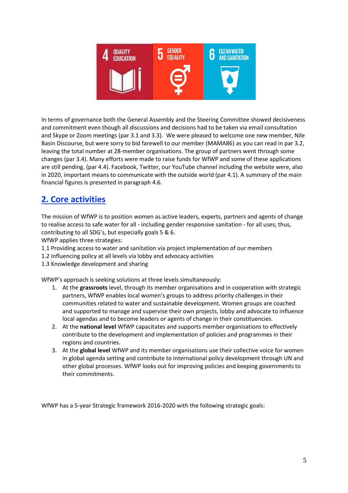

In terms of governance both the General Assembly and the Steering Committee showed decisiveness and commitment even though all discussions and decisions had to be taken via email consultation and Skype or Zoom meetings (par 3.1 and 3.3). We were pleased to welcome one new member, Nile Basin Discourse, but were sorry to bid farewell to our member (MAMA86) as you can read in par 3.2, leaving the total number at 28-member organisations. The group of partners went through some changes (par 3.4). Many efforts were made to raise funds for WfWP and some of these applications are still pending. (par 4.4). Facebook, Twitter, our YouTube channel including the website were, also in 2020, important means to communicate with the outside world (par 4.1). A summary of the main financial figures is presented in paragraph 4.6.

## <span id="page-4-0"></span>**2. Core activities**

The mission of WfWP is to position women as active leaders, experts, partners and agents of change to realise access to safe water for all - including gender responsive sanitation - for all uses; thus, contributing to all SDG's, but especially goals 5 & 6.

WfWP applies three strategies:

- 1.1 Providing access to water and sanitation via project implementation of our members
- 1.2 Influencing policy at all levels via lobby and advocacy activities
- 1.3 Knowledge development and sharing

WfWP's approach is seeking solutions at three levels simultaneously:

- 1. At the **grassroots** level, through its member organisations and in cooperation with strategic partners, WfWP enables local women's groups to address priority challenges in their communities related to water and sustainable development. Women groups are coached and supported to manage and supervise their own projects, lobby and advocate to influence local agendas and to become leaders or agents of change in their constituencies.
- 2. At the **national level** WfWP capacitates and supports member organisations to effectively contribute to the development and implementation of policies and programmes in their regions and countries.
- 3. At the **global level** WfWP and its member organisations use their collective voice for women in global agenda setting and contribute to international policy development through UN and other global processes. WfWP looks out for improving policies and keeping governments to their commitments.

WfWP has a 5-year Strategic framework 2016-2020 with the following strategic goals: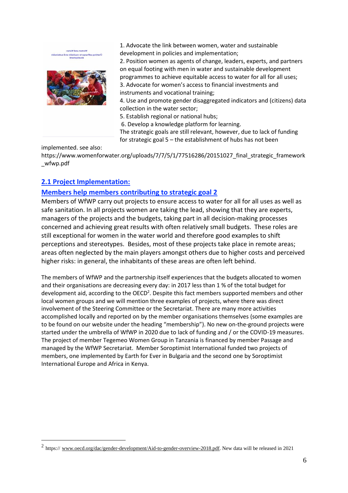

1. Advocate the link between women, water and sustainable development in policies and implementation;

2. Position women as agents of change, leaders, experts, and partners on equal footing with men in water and sustainable development programmes to achieve equitable access to water for all for all uses; 3. Advocate for women's access to financial investments and

instruments and vocational training;

4. Use and promote gender disaggregated indicators and (citizens) data collection in the water sector;

5. Establish regional or national hubs;

6. Develop a knowledge platform for learning.

The strategic goals are still relevant, however, due to lack of funding for strategic goal 5 – the establishment of hubs has not been

implemented. see also:

https://www.womenforwater.org/uploads/7/7/5/1/77516286/20151027\_final\_strategic\_framework \_wfwp.pdf

#### <span id="page-5-0"></span>**2.1 Project Implementation:**

#### <span id="page-5-1"></span>**Members help members contributing to strategic goal 2**

Members of WfWP carry out projects to ensure access to water for all for all uses as well as safe sanitation. In all projects women are taking the lead, showing that they are experts, managers of the projects and the budgets, taking part in all decision-making processes concerned and achieving great results with often relatively small budgets. These roles are still exceptional for women in the water world and therefore good examples to shift perceptions and stereotypes. Besides, most of these projects take place in remote areas; areas often neglected by the main players amongst others due to higher costs and perceived higher risks: in general, the inhabitants of these areas are often left behind.

The members of WfWP and the partnership itself experiences that the budgets allocated to women and their organisations are decreasing every day: in 2017 less than 1 % of the total budget for development aid, according to the OECD<sup>2</sup>. Despite this fact members supported members and other local women groups and we will mention three examples of projects, where there was direct involvement of the Steering Committee or the Secretariat. There are many more activities accomplished locally and reported on by the member organisations themselves (some examples are to be found on our website under the heading "membership"). No new on-the-ground projects were started under the umbrella of WfWP in 2020 due to lack of funding and / or the COVID-19 measures. The project of member Tegemeo Women Group in Tanzania is financed by member Passage and managed by the WfWP Secretariat. Member Soroptimist International funded two projects of members, one implemented by Earth for Ever in Bulgaria and the second one by Soroptimist International Europe and Africa in Kenya.

<sup>&</sup>lt;sup>2</sup> https:// [www.oecd.org/dac/gender-development/Aid-to-gender-overview-2018.pdf.](http://www.oecd.org/dac/gender-development/Aid-to-gender-overview-2018.pdf) New data will be released in 2021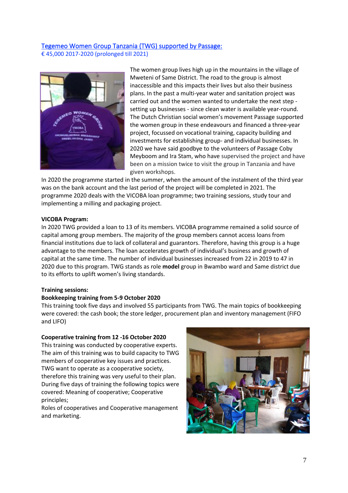#### <span id="page-6-0"></span>Tegemeo Women Group Tanzania (TWG) supported by Passage: € 45,000 2017-2020 (prolonged till 2021)



The women group lives high up in the mountains in the village of Mweteni of Same District. The road to the group is almost inaccessible and this impacts their lives but also their business plans. In the past a multi-year water and sanitation project was carried out and the women wanted to undertake the next step setting up businesses - since clean water is available year-round. The Dutch Christian social women's movement Passage supported the women group in these endeavours and financed a three-year project, focussed on vocational training, capacity building and investments for establishing group- and individual businesses. In 2020 we have said goodbye to the volunteers of Passage Coby Meyboom and Ira Stam, who have supervised the project and have been on a mission twice to visit the group in Tanzania and have given workshops.

In 2020 the programme started in the summer, when the amount of the instalment of the third year was on the bank account and the last period of the project will be completed in 2021. The programme 2020 deals with the VICOBA loan programme; two training sessions, study tour and implementing a milling and packaging project.

#### **VICOBA Program:**

In 2020 TWG provided a loan to 13 of its members. VICOBA programme remained a solid source of capital among group members. The majority of the group members cannot access loans from financial institutions due to lack of collateral and guarantors. Therefore, having this group is a huge advantage to the members. The loan accelerates growth of individual's business and growth of capital at the same time. The number of individual businesses increased from 22 in 2019 to 47 in 2020 due to this program. TWG stands as role **model** group in Bwambo ward and Same district due to its efforts to uplift women's living standards.

#### **Training sessions:**

#### **Bookkeeping training from 5-9 October 2020**

This training took five days and involved 55 participants from TWG. The main topics of bookkeeping were covered: the cash book; the store ledger, procurement plan and inventory management (FIFO and LIFO)

#### **Cooperative training from 12 -16 October 2020**

This training was conducted by cooperative experts. The aim of this training was to build capacity to TWG members of cooperative key issues and practices. TWG want to operate as a cooperative society, therefore this training was very useful to their plan. During five days of training the following topics were covered: Meaning of cooperative; Cooperative principles;

Roles of cooperatives and Cooperative management and marketing.

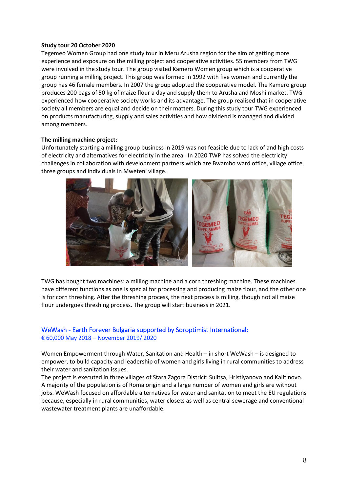#### **Study tour 20 October 2020**

Tegemeo Women Group had one study tour in Meru Arusha region for the aim of getting more experience and exposure on the milling project and cooperative activities. 55 members from TWG were involved in the study tour. The group visited Kamero Women group which is a cooperative group running a milling project. This group was formed in 1992 with five women and currently the group has 46 female members. In 2007 the group adopted the cooperative model. The Kamero group produces 200 bags of 50 kg of maize flour a day and supply them to Arusha and Moshi market. TWG experienced how cooperative society works and its advantage. The group realised that in cooperative society all members are equal and decide on their matters. During this study tour TWG experienced on products manufacturing, supply and sales activities and how dividend is managed and divided among members.

#### **The milling machine project:**

Unfortunately starting a milling group business in 2019 was not feasible due to lack of and high costs of electricity and alternatives for electricity in the area. In 2020 TWP has solved the electricity challenges in collaboration with development partners which are Bwambo ward office, village office, three groups and individuals in Mweteni village.



TWG has bought two machines: a milling machine and a corn threshing machine. These machines have different functions as one is special for processing and producing maize flour, and the other one is for corn threshing. After the threshing process, the next process is milling, though not all maize flour undergoes threshing process. The group will start business in 2021.

#### <span id="page-7-0"></span>WeWash - Earth Forever Bulgaria supported by Soroptimist International: € 60,000 May 2018 – November 2019/ 2020

Women Empowerment through Water, Sanitation and Health – in short WeWash – is designed to empower, to build capacity and leadership of women and girls living in rural communities to address their water and sanitation issues.

The project is executed in three villages of Stara Zagora District: Sulitsa, Hristiyanovo and Kalitinovo. A majority of the population is of Roma origin and a large number of women and girls are without jobs. WeWash focused on affordable alternatives for water and sanitation to meet the EU regulations because, especially in rural communities, water closets as well as central sewerage and conventional wastewater treatment plants are unaffordable.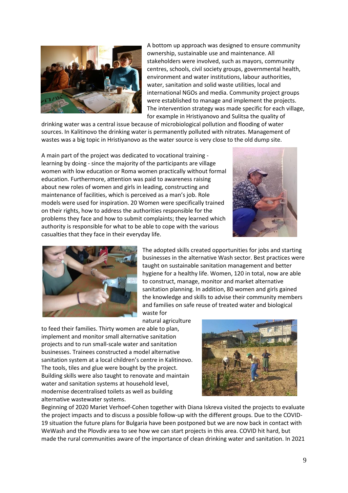

A bottom up approach was designed to ensure community ownership, sustainable use and maintenance. All stakeholders were involved, such as mayors, community centres, schools, civil society groups, governmental health, environment and water institutions, labour authorities, water, sanitation and solid waste utilities, local and international NGOs and media. Community project groups were established to manage and implement the projects. The intervention strategy was made specific for each village, for example in Hristiyanovo and Sulitsa the quality of

drinking water was a central issue because of microbiological pollution and flooding of water sources. In Kalitinovo the drinking water is permanently polluted with nitrates. Management of wastes was a big topic in Hristiyanovo as the water source is very close to the old dump site.

A main part of the project was dedicated to vocational training learning by doing - since the majority of the participants are village women with low education or Roma women practically without formal education. Furthermore, attention was paid to awareness raising about new roles of women and girls in leading, constructing and maintenance of facilities, which is perceived as a man's job. Role models were used for inspiration. 20 Women were specifically trained on their rights, how to address the authorities responsible for the problems they face and how to submit complaints; they learned which authority is responsible for what to be able to cope with the various casualties that they face in their everyday life.





The adopted skills created opportunities for jobs and starting businesses in the alternative Wash sector. Best practices were taught on sustainable sanitation management and better hygiene for a healthy life. Women, 120 in total, now are able to construct, manage, monitor and market alternative sanitation planning. In addition, 80 women and girls gained the knowledge and skills to advise their community members and families on safe reuse of treated water and biological waste for

natural agriculture

to feed their families. Thirty women are able to plan, implement and monitor small alternative sanitation projects and to run small-scale water and sanitation businesses. Trainees constructed a model alternative sanitation system at a local children's centre in Kalitinovo. The tools, tiles and glue were bought by the project. Building skills were also taught to renovate and maintain water and sanitation systems at household level, modernise decentralised toilets as well as building alternative wastewater systems.



Beginning of 2020 Mariet Verhoef-Cohen together with Diana Iskreva visited the projects to evaluate the project impacts and to discuss a possible follow-up with the different groups. Due to the COVID-19 situation the future plans for Bulgaria have been postponed but we are now back in contact with WeWash and the Plovdiv area to see how we can start projects in this area. COVID hit hard, but made the rural communities aware of the importance of clean drinking water and sanitation. In 2021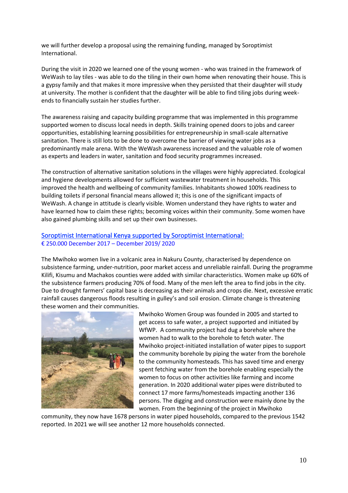we will further develop a proposal using the remaining funding, managed by Soroptimist International.

During the visit in 2020 we learned one of the young women - who was trained in the framework of WeWash to lay tiles - was able to do the tiling in their own home when renovating their house. This is a gypsy family and that makes it more impressive when they persisted that their daughter will study at university. The mother is confident that the daughter will be able to find tiling jobs during weekends to financially sustain her studies further.

The awareness raising and capacity building programme that was implemented in this programme supported women to discuss local needs in depth. Skills training opened doors to jobs and career opportunities, establishing learning possibilities for entrepreneurship in small-scale alternative sanitation. There is still lots to be done to overcome the barrier of viewing water jobs as a predominantly male arena. With the WeWash awareness increased and the valuable role of women as experts and leaders in water, sanitation and food security programmes increased.

The construction of alternative sanitation solutions in the villages were highly appreciated. Ecological and hygiene developments allowed for sufficient wastewater treatment in households. This improved the health and wellbeing of community families. Inhabitants showed 100% readiness to building toilets if personal financial means allowed it; this is one of the significant impacts of WeWash. A change in attitude is clearly visible. Women understand they have rights to water and have learned how to claim these rights; becoming voices within their community. Some women have also gained plumbing skills and set up their own businesses.

#### <span id="page-9-0"></span>Soroptimist International Kenya supported by Soroptimist International:

#### € 250.000 December 2017 – December 2019/ 2020

The Mwihoko women live in a volcanic area in Nakuru County, characterised by dependence on subsistence farming, under-nutrition, poor market access and unreliable rainfall. During the programme Kilifi, Kisumu and Machakos counties were added with similar characteristics. Women make up 60% of the subsistence farmers producing 70% of food. Many of the men left the area to find jobs in the city. Due to drought farmers' capital base is decreasing as their animals and crops die. Next, excessive erratic rainfall causes dangerous floods resulting in gulley's and soil erosion. Climate change is threatening these women and their communities.



Mwihoko Women Group was founded in 2005 and started to get access to safe water, a project supported and initiated by WfWP. A community project had dug a borehole where the women had to walk to the borehole to fetch water. The Mwihoko project-initiated installation of water pipes to support the community borehole by piping the water from the borehole to the community homesteads. This has saved time and energy spent fetching water from the borehole enabling especially the women to focus on other activities like farming and income generation. In 2020 additional water pipes were distributed to connect 17 more farms/homesteads impacting another 136 persons. The digging and construction were mainly done by the women. From the beginning of the project in Mwihoko

community, they now have 1678 persons in water piped households, compared to the previous 1542 reported. In 2021 we will see another 12 more households connected.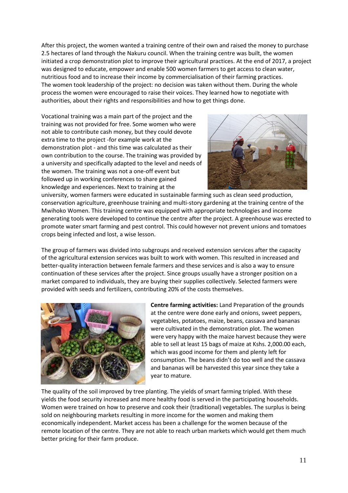After this project, the women wanted a training centre of their own and raised the money to purchase 2.5 hectares of land through the Nakuru council. When the training centre was built, the women initiated a crop demonstration plot to improve their agricultural practices. At the end of 2017, a project was designed to educate, empower and enable 500 women farmers to get access to clean water, nutritious food and to increase their income by commercialisation of their farming practices. The women took leadership of the project: no decision was taken without them. During the whole process the women were encouraged to raise their voices. They learned how to negotiate with authorities, about their rights and responsibilities and how to get things done.

Vocational training was a main part of the project and the training was not provided for free. Some women who were not able to contribute cash money, but they could devote extra time to the project -for example work at the demonstration plot - and this time was calculated as their own contribution to the course. The training was provided by a university and specifically adapted to the level and needs of the women. The training was not a one-off event but followed up in working conferences to share gained knowledge and experiences. Next to training at the



university, women farmers were educated in sustainable farming such as clean seed production, conservation agriculture, greenhouse training and multi-story gardening at the training centre of the Mwihoko Women. This training centre was equipped with appropriate technologies and income generating tools were developed to continue the centre after the project. A greenhouse was erected to promote water smart farming and pest control. This could however not prevent unions and tomatoes crops being infected and lost, a wise lesson.

The group of farmers was divided into subgroups and received extension services after the capacity of the agricultural extension services was built to work with women. This resulted in increased and better-quality interaction between female farmers and these services and is also a way to ensure continuation of these services after the project. Since groups usually have a stronger position on a market compared to individuals, they are buying their supplies collectively. Selected farmers were provided with seeds and fertilizers, contributing 20% of the costs themselves.



**Centre farming activities:** Land Preparation of the grounds at the centre were done early and onions, sweet peppers, vegetables, potatoes, maize, beans, cassava and bananas were cultivated in the demonstration plot. The women were very happy with the maize harvest because they were able to sell at least 15 bags of maize at Kshs. 2,000.00 each, which was good income for them and plenty left for consumption. The beans didn't do too well and the cassava and bananas will be harvested this year since they take a year to mature.

The quality of the soil improved by tree planting. The yields of smart farming tripled. With these yields the food security increased and more healthy food is served in the participating households. Women were trained on how to preserve and cook their (traditional) vegetables. The surplus is being sold on neighbouring markets resulting in more income for the women and making them economically independent. Market access has been a challenge for the women because of the remote location of the centre. They are not able to reach urban markets which would get them much better pricing for their farm produce.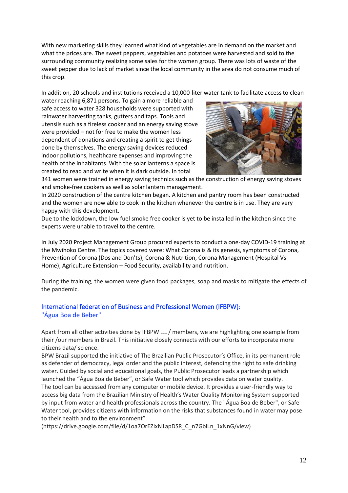With new marketing skills they learned what kind of vegetables are in demand on the market and what the prices are. The sweet peppers, vegetables and potatoes were harvested and sold to the surrounding community realizing some sales for the women group. There was lots of waste of the sweet pepper due to lack of market since the local community in the area do not consume much of this crop.

In addition, 20 schools and institutions received a 10,000-liter water tank to facilitate access to clean

water reaching 6,871 persons. To gain a more reliable and safe access to water 328 households were supported with rainwater harvesting tanks, gutters and taps. Tools and utensils such as a fireless cooker and an energy saving stove were provided – not for free to make the women less dependent of donations and creating a spirit to get things done by themselves. The energy saving devices reduced indoor pollutions, healthcare expenses and improving the health of the inhabitants. With the solar lanterns a space is created to read and write when it is dark outside. In total



341 women were trained in energy saving technics such as the construction of energy saving stoves and smoke-free cookers as well as solar lantern management.

In 2020 construction of the centre kitchen began. A kitchen and pantry room has been constructed and the women are now able to cook in the kitchen whenever the centre is in use. They are very happy with this development.

Due to the lockdown, the low fuel smoke free cooker is yet to be installed in the kitchen since the experts were unable to travel to the centre.

In July 2020 Project Management Group procured experts to conduct a one-day COVID-19 training at the Mwihoko Centre. The topics covered were: What Corona is & its genesis, symptoms of Corona, Prevention of Corona (Dos and Don'ts), Corona & Nutrition, Corona Management (Hospital Vs Home), Agriculture Extension – Food Security, availability and nutrition.

During the training, the women were given food packages, soap and masks to mitigate the effects of the pandemic.

#### <span id="page-11-0"></span>International federation of Business and Professional Women (IFBPW): "Água Boa de Beber"

Apart from all other activities done by IFBPW  $_{\text{down}}$  / members, we are highlighting one example from their /our members in Brazil. This initiative closely connects with our efforts to incorporate more citizens data/ science.

BPW Brazil supported the initiative of The Brazilian Public Prosecutor's Office, in its permanent role as defender of democracy, legal order and the public interest, defending the right to safe drinking water. Guided by social and educational goals, the Public Prosecutor leads a partnership which launched the "Água Boa de Beber", or Safe Water tool which provides data on water quality. The tool can be accessed from any computer or mobile device. It provides a user-friendly way to access big data from the Brazilian Ministry of Health's Water Quality Monitoring System supported by input from water and health professionals across the country. The "Água Boa de Beber", or Safe Water tool, provides citizens with information on the risks that substances found in water may pose to their health and to the environment"

(https://drive.google.com/file/d/1oa7OrEZlxN1apDSR\_C\_n7GblLn\_1xNnG/view)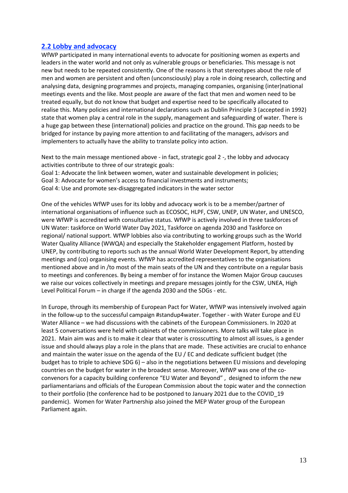#### <span id="page-12-0"></span>**2.2 Lobby and advocacy**

WfWP participated in many international events to advocate for positioning women as experts and leaders in the water world and not only as vulnerable groups or beneficiaries. This message is not new but needs to be repeated consistently. One of the reasons is that stereotypes about the role of men and women are persistent and often (unconsciously) play a role in doing research, collecting and analysing data, designing programmes and projects, managing companies, organising (inter)national meetings events and the like. Most people are aware of the fact that men and women need to be treated equally, but do not know that budget and expertise need to be specifically allocated to realise this. Many policies and international declarations such as Dublin Principle 3 (accepted in 1992) state that women play a central role in the supply, management and safeguarding of water. There is a huge gap between these (international) policies and practice on the ground. This gap needs to be bridged for instance by paying more attention to and facilitating of the managers, advisors and implementers to actually have the ability to translate policy into action.

Next to the main message mentioned above - in fact, strategic goal 2 -, the lobby and advocacy activities contribute to three of our strategic goals:

Goal 1: Advocate the link between women, water and sustainable development in policies;

Goal 3: Advocate for women's access to financial investments and instruments;

Goal 4: Use and promote sex-disaggregated indicators in the water sector

One of the vehicles WfWP uses for its lobby and advocacy work is to be a member/partner of international organisations of influence such as ECOSOC, HLPF, CSW, UNEP, UN Water, and UNESCO, were WfWP is accredited with consultative status. WfWP is actively involved in three taskforces of UN Water: taskforce on World Water Day 2021, Taskforce on agenda 2030 and Taskforce on regional/ national support. WfWP lobbies also via contributing to working groups such as the World Water Quality Alliance (WWQA) and especially the Stakeholder engagement Platform, hosted by UNEP, by contributing to reports such as the annual World Water Development Report, by attending meetings and (co) organising events. WfWP has accredited representatives to the organisations mentioned above and in /to most of the main seats of the UN and they contribute on a regular basis to meetings and conferences. By being a member of for instance the Women Major Group caucuses we raise our voices collectively in meetings and prepare messages jointly for the CSW, UNEA, High Level Political Forum – in charge if the agenda 2030 and the SDGs - etc.

In Europe, through its membership of European Pact for Water, WfWP was intensively involved again in the follow-up to the successful campaign #standup4water. Together - with Water Europe and EU Water Alliance – we had discussions with the cabinets of the European Commissioners. In 2020 at least 5 conversations were held with cabinets of the commissioners. More talks will take place in 2021. Main aim was and is to make it clear that water is crosscutting to almost all issues, is a gender issue and should always play a role in the plans that are made. These activities are crucial to enhance and maintain the water issue on the agenda of the EU / EC and dedicate sufficient budget (the budget has to triple to achieve SDG 6) – also in the negotiations between EU missions and developing countries on the budget for water in the broadest sense. Moreover, WfWP was one of the coconvenors for a capacity building conference "EU Water and Beyond" , designed to inform the new parliamentarians and officials of the European Commission about the topic water and the connection to their portfolio (the conference had to be postponed to January 2021 due to the COVID\_19 pandemic). Women for Water Partnership also joined the MEP Water group of the European Parliament again.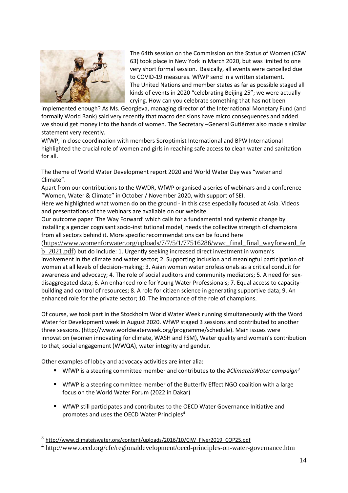

The 64th session on the Commission on the Status of Women (CSW 63) took place in New York in March 2020, but was limited to one very short formal session. Basically, all events were cancelled due to COVID-19 measures. WfWP send in a written statement. The United Nations and member states as far as possible staged all kinds of events in 2020 "celebrating Beijing 25"; we were actually crying. How can you celebrate something that has not been

implemented enough? As Ms. Georgieva, managing director of the International Monetary Fund (and formally World Bank) said very recently that macro decisions have micro consequences and added we should get money into the hands of women. The Secretary –General Gutiérrez also made a similar statement very recently.

WfWP, in close coordination with members Soroptimist International and BPW International highlighted the crucial role of women and girls in reaching safe access to clean water and sanitation for all.

The theme of World Water Development report 2020 and World Water Day was "water and Climate".

Apart from our contributions to the WWDR, WfWP organised a series of webinars and a conference "Women, Water & Climate" in October / November 2020, with support of SEI.

Here we highlighted what women do on the ground - in this case especially focused at Asia. Videos and presentations of the webinars are available on our website.

Our outcome paper 'The Way Forward' which calls for a fundamental and systemic change by installing a gender cognisant socio-institutional model, needs the collective strength of champions from all sectors behind it. More specific recommendations can be found here

[\(https://www.womenforwater.org/uploads/7/7/5/1/77516286/wwc\\_final\\_final\\_wayforward\\_fe](https://www.womenforwater.org/uploads/7/7/5/1/77516286/wwc_final_final_wayforward_feb_2021.pdf) [b\\_2021.pdf\)](https://www.womenforwater.org/uploads/7/7/5/1/77516286/wwc_final_final_wayforward_feb_2021.pdf) but do include: 1. Urgently seeking increased direct investment in women's involvement in the climate and water sector; 2. Supporting inclusion and meaningful participation of women at all levels of decision-making; 3. Asian women water professionals as a critical conduit for awareness and advocacy; 4. The role of social auditors and community mediators; 5. A need for sexdisaggregated data; 6. An enhanced role for Young Water Professionals; 7. Equal access to capacitybuilding and control of resources; 8. A role for citizen science in generating supportive data; 9. An enhanced role for the private sector; 10. The importance of the role of champions.

Of course, we took part in the Stockholm World Water Week running simultaneously with the Word Water for Development week in August 2020. WfWP staged 3 sessions and contributed to another three sessions. [\(http://www.worldwaterweek.org/programme/schedule\)](http://www.worldwaterweek.org/programme/schedule). Main issues were innovation (women innovating for climate, WASH and FSM), Water quality and women's contribution to that, social engagement (WWQA), water integrity and gender.

Other examples of lobby and advocacy activities are inter alia:

- WfWP is a steering committee member and contributes to the #ClimateisWater campaign<sup>3</sup>
- WfWP is a steering committee member of the Butterfly Effect NGO coalition with a large focus on the World Water Forum (2022 in Dakar)
- **■** WfWP still participates and contributes to the OECD Water Governance Initiative and promotes and uses the OECD Water Principles<sup>4</sup>

<sup>&</sup>lt;sup>3</sup> [http://www.climateiswater.org/content/uploads/2016/10/CIW\\_Flyer2019\\_COP25.pdf](http://www.climateiswater.org/content/uploads/2016/10/CIW_Flyer2019_COP25.pdf)

<sup>&</sup>lt;sup>4</sup> <http://www.oecd.org/cfe/regionaldevelopment/oecd-principles-on-water-governance.htm>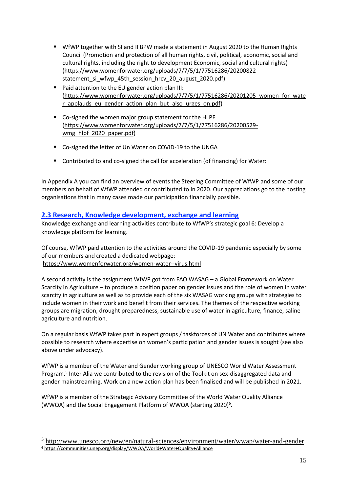- WfWP together with SI and IFBPW made a statement in August 2020 to the Human Rights Council (Promotion and protection of all human rights, civil, political, economic, social and cultural rights, including the right to development Economic, social and cultural rights) (https://www.womenforwater.org/uploads/7/7/5/1/77516286/20200822 statement si wfwp 45th session hrcv 20 august 2020.pdf)
- Paid attention to the EU gender action plan III: [\(https://www.womenforwater.org/uploads/7/7/5/1/77516286/20201205\\_women\\_for\\_wate](https://www.womenforwater.org/uploads/7/7/5/1/77516286/20201205_women_for_water_applauds_eu_gender_action_plan_but_also_urges_on.pdf) r applauds eu gender action plan but also urges on.pdf)
- Co-signed the women major group statement for the HLPF [\(https://www.womenforwater.org/uploads/7/7/5/1/77516286/20200529](https://www.womenforwater.org/uploads/7/7/5/1/77516286/20200529-wmg_hlpf_2020_paper.pdf) wmg hlpf 2020 paper.pdf)
- Co-signed the letter of Un Water on COVID-19 to the UNGA
- Contributed to and co-signed the call for acceleration (of financing) for Water:

In Appendix A you can find an overview of events the Steering Committee of WfWP and some of our members on behalf of WfWP attended or contributed to in 2020. Our appreciations go to the hosting organisations that in many cases made our participation financially possible.

#### <span id="page-14-0"></span>**2.3 Research, Knowledge development, exchange and learning**

Knowledge exchange and learning activities contribute to WfWP's strategic goal 6: Develop a knowledge platform for learning.

Of course, WfWP paid attention to the activities around the COVID-19 pandemic especially by some of our members and created a dedicated webpage: <https://www.womenforwater.org/women-water--virus.html>

A second activity is the assignment WfWP got from FAO WASAG – a Global Framework on Water Scarcity in Agriculture – to produce a position paper on gender issues and the role of women in water scarcity in agriculture as well as to provide each of the six WASAG working groups with strategies to include women in their work and benefit from their services. The themes of the respective working groups are migration, drought preparedness, sustainable use of water in agriculture, finance, saline agriculture and nutrition.

On a regular basis WfWP takes part in expert groups / taskforces of UN Water and contributes where possible to research where expertise on women's participation and gender issues is sought (see also above under advocacy).

WfWP is a member of the Water and Gender working group of UNESCO World Water Assessment Program.<sup>5</sup> Inter Alia we contributed to the revision of the Toolkit on sex-disaggregated data and gender mainstreaming. Work on a new action plan has been finalised and will be published in 2021.

WfWP is a member of the Strategic Advisory Committee of the World Water Quality Alliance (WWQA) and the Social Engagement Platform of WWQA (starting 2020)<sup>6</sup>.

<sup>&</sup>lt;sup>5</sup> <http://www.unesco.org/new/en/natural-sciences/environment/water/wwap/water-and-gender>

<sup>6</sup> <https://communities.unep.org/display/WWQA/World+Water+Quality+Alliance>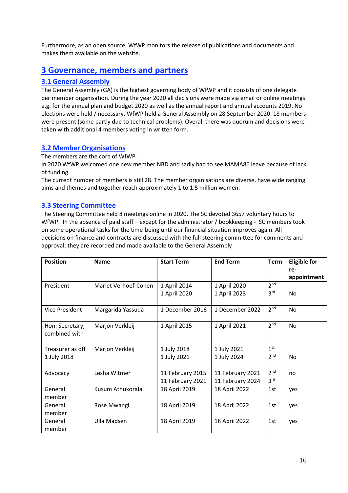Furthermore, as an open source, WfWP monitors the release of publications and documents and makes them available on the website.

#### <span id="page-15-0"></span>**3 Governance, members and partners**

#### <span id="page-15-1"></span>**3.1 General Assembly**

The General Assembly (GA) is the highest governing body of WfWP and it consists of one delegate per member organisation. During the year 2020 all decisions were made via email or online meetings e.g. for the annual plan and budget 2020 as well as the annual report and annual accounts 2019. No elections were held / necessary. WfWP held a General Assembly on 28 September 2020. 18 members were present (some partly due to technical problems). Overall there was quorum and decisions were taken with additional 4 members voting in written form.

#### <span id="page-15-2"></span>**3.2 Member Organisations**

The members are the core of WfWP.

In 2020 WfWP welcomed one new member NBD and sadly had to see MAMA86 leave because of lack of funding.

The current number of members is still 28. The member organisations are diverse, have wide ranging aims and themes and together reach approximately 1 to 1.5 million women.

#### <span id="page-15-3"></span>**3.3 Steering Committee**

The Steering Committee held 8 meetings online in 2020. The SC devoted 3657 voluntary hours to WfWP. In the absence of paid staff – except for the administrator / bookkeeping - SC members took on some operational tasks for the time-being until our financial situation improves again. All decisions on finance and contracts are discussed with the full steering committee for comments and approval; they are recorded and made available to the General Assembly

| <b>Position</b>  | <b>Name</b>          | <b>Start Term</b> | <b>End Term</b>  | <b>Term</b>     | <b>Eligible for</b> |
|------------------|----------------------|-------------------|------------------|-----------------|---------------------|
|                  |                      |                   |                  |                 | re-                 |
|                  |                      |                   |                  |                 | appointment         |
| President        | Mariet Verhoef-Cohen | 1 April 2014      | 1 April 2020     | 2 <sub>nd</sub> |                     |
|                  |                      | 1 April 2020      | 1 April 2023     | 3 <sup>rd</sup> | <b>No</b>           |
|                  |                      |                   |                  |                 |                     |
| Vice President   | Margarida Yassuda    | 1 December 2016   | 1 December 2022  | 2 <sup>nd</sup> | <b>No</b>           |
|                  |                      |                   |                  |                 |                     |
| Hon. Secretary,  | Marjon Verkleij      | 1 April 2015      | 1 April 2021     | 2 <sup>nd</sup> | No                  |
| combined with    |                      |                   |                  |                 |                     |
|                  |                      |                   |                  |                 |                     |
| Treasurer as off | Marjon Verkleij      | 1 July 2018       | 1 July 2021      | 1 <sup>st</sup> |                     |
| 1 July 2018      |                      | 1 July 2021       | 1 July 2024      | 2 <sup>nd</sup> | No                  |
|                  |                      |                   |                  |                 |                     |
| Advocacy         | Lesha Witmer         | 11 February 2015  | 11 February 2021 | 2 <sup>nd</sup> | no                  |
|                  |                      | 11 February 2021  | 11 February 2024 | 3 <sup>rd</sup> |                     |
| General          | Kusum Athukorala     | 18 April 2019     | 18 April 2022    | 1st             | ves                 |
| member           |                      |                   |                  |                 |                     |
| General          | Rose Mwangi          | 18 April 2019     | 18 April 2022    | 1st             | yes                 |
| member           |                      |                   |                  |                 |                     |
| General          | Ulla Madsen          | 18 April 2019     | 18 April 2022    | 1st             | yes                 |
| member           |                      |                   |                  |                 |                     |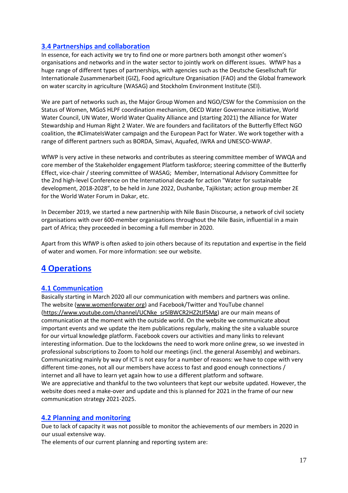#### <span id="page-16-0"></span>**3.4 Partnerships and collaboration**

In essence, for each activity we try to find one or more partners both amongst other women's organisations and networks and in the water sector to jointly work on different issues. WfWP has a huge range of different types of partnerships, with agencies such as the Deutsche Gesellschaft für Internationale Zusammenarbeit (GIZ), Food agriculture Organisation (FAO) and the Global framework on water scarcity in agriculture (WASAG) and Stockholm Environment Institute (SEI).

We are part of networks such as, the Major Group Women and NGO/CSW for the Commission on the Status of Women, MGoS HLPF coordination mechanism, OECD Water Governance initiative, World Water Council, UN Water, World Water Quality Alliance and (starting 2021) the Alliance for Water Stewardship and Human Right 2 Water. We are founders and facilitators of the Butterfly Effect NGO coalition, the #ClimateIsWater campaign and the European Pact for Water. We work together with a range of different partners such as BORDA, Simavi, Aquafed, IWRA and UNESCO-WWAP.

WfWP is very active in these networks and contributes as steering committee member of WWQA and core member of the Stakeholder engagement Platform taskforce; steering committee of the Butterfly Effect, vice-chair / steering committee of WASAG; Member, International Advisory Committee for the 2nd high-level Conference on the International decade for action "Water for sustainable development, 2018-2028", to be held in June 2022, Dushanbe, Tajikistan; action group member 2E for the World Water Forum in Dakar, etc.

In December 2019, we started a new partnership with Nile Basin Discourse, a network of civil society organisations with over 600-member organisations throughout the Nile Basin, influential in a main part of Africa; they proceeded in becoming a full member in 2020.

Apart from this WfWP is often asked to join others because of its reputation and expertise in the field of water and women. For more information: see our website.

## <span id="page-16-1"></span>**4 Operations**

#### <span id="page-16-2"></span>**4.1 Communication**

Basically starting in March 2020 all our communication with members and partners was online. The website [\(www.womenforwater.org\)](http://www.womenforwater.org/) and Facebook/Twitter and YouTube channel [\(https://www.youtube.com/channel/UCNke\\_sr5lBWCR2HZ2tJf5Mg\)](https://www.youtube.com/channel/UCNke_sr5lBWCR2HZ2tJf5Mg) are our main means of communication at the moment with the outside world. On the website we communicate about important events and we update the item publications regularly, making the site a valuable source for our virtual knowledge platform. Facebook covers our activities and many links to relevant interesting information. Due to the lockdowns the need to work more online grew, so we invested in professional subscriptions to Zoom to hold our meetings (incl. the general Assembly) and webinars. Communicating mainly by way of ICT is not easy for a number of reasons: we have to cope with very different time-zones, not all our members have access to fast and good enough connections / internet and all have to learn yet again how to use a different platform and software. We are appreciative and thankful to the two volunteers that kept our website updated. However, the website does need a make-over and update and this is planned for 2021 in the frame of our new communication strategy 2021-2025.

#### <span id="page-16-3"></span>**4.2 Planning and monitoring**

Due to lack of capacity it was not possible to monitor the achievements of our members in 2020 in our usual extensive way.

The elements of our current planning and reporting system are: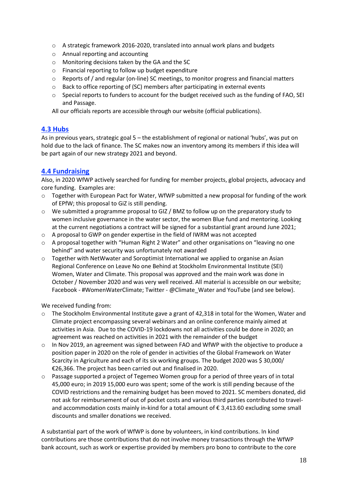- o A strategic framework 2016-2020, translated into annual work plans and budgets
- o Annual reporting and accounting
- o Monitoring decisions taken by the GA and the SC
- o Financial reporting to follow up budget expenditure
- $\circ$  Reports of / and regular (on-line) SC meetings, to monitor progress and financial matters
- o Back to office reporting of (SC) members after participating in external events
- $\circ$  Special reports to funders to account for the budget received such as the funding of FAO, SEI and Passage.

All our officials reports are accessible through our website (official publications).

#### <span id="page-17-0"></span>**4.3 Hubs**

As in previous years, strategic goal 5 – the establishment of regional or national 'hubs', was put on hold due to the lack of finance. The SC makes now an inventory among its members if this idea will be part again of our new strategy 2021 and beyond.

#### <span id="page-17-1"></span>**4.4 Fundraising**

Also, in 2020 WfWP actively searched for funding for member projects, global projects, advocacy and core funding. Examples are:

- $\circ$  Together with European Pact for Water, WfWP submitted a new proposal for funding of the work of EPfW; this proposal to GiZ is still pending.
- o We submitted a programme proposal to GIZ / BMZ to follow up on the preparatory study to women inclusive governance in the water sector, the women Blue fund and mentoring. Looking at the current negotiations a contract will be signed for a substantial grant around June 2021;
- $\circ$  A proposal to GWP on gender expertise in the field of IWRM was not accepted
- $\circ$  A proposal together with "Human Right 2 Water" and other organisations on "leaving no one behind" and water security was unfortunately not awarded
- o Together with NetWwater and Soroptimist International we applied to organise an Asian Regional Conference on Leave No one Behind at Stockholm Environmental Institute (SEI) Women, Water and Climate. This proposal was approved and the main work was done in October / November 2020 and was very well received. All material is accessible on our website; Facebook - #WomenWaterClimate; Twitter - @Climate\_Water and YouTube (and see below).

We received funding from:

- $\circ$  The Stockholm Environmental Institute gave a grant of 42,318 in total for the Women, Water and Climate project encompassing several webinars and an online conference mainly aimed at activities in Asia. Due to the COVID-19 lockdowns not all activities could be done in 2020; an agreement was reached on activities in 2021 with the remainder of the budget
- $\circ$  In Nov 2019, an agreement was signed between FAO and WfWP with the objective to produce a position paper in 2020 on the role of gender in activities of the Global Framework on Water Scarcity in Agriculture and each of its six working groups. The budget 2020 was \$ 30,000/ €26,366. The project has been carried out and finalised in 2020.
- $\circ$  Passage supported a project of Tegemeo Women group for a period of three years of in total 45,000 euro; in 2019 15,000 euro was spent; some of the work is still pending because of the COVID restrictions and the remaining budget has been moved to 2021. SC members donated, did not ask for reimbursement of out of pocket costs and various third parties contributed to traveland accommodation costs mainly in-kind for a total amount of € 3,413.60 excluding some small discounts and smaller donations we received.

A substantial part of the work of WfWP is done by volunteers, in kind contributions. In kind contributions are those contributions that do not involve money transactions through the WfWP bank account, such as work or expertise provided by members pro bono to contribute to the core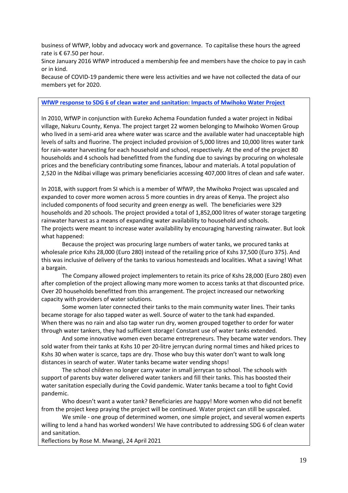business of WfWP, lobby and advocacy work and governance. To capitalise these hours the agreed rate is € 67.50 per hour.

Since January 2016 WfWP introduced a membership fee and members have the choice to pay in cash or in kind.

Because of COVID-19 pandemic there were less activities and we have not collected the data of our members yet for 2020.

#### <span id="page-18-0"></span>**WfWP response to SDG 6 of clean water and sanitation: Impacts of Mwihoko Water Project**

In 2010, WfWP in conjunction with Eureko Achema Foundation funded a water project in Ndibai village, Nakuru County, Kenya. The project target 22 women belonging to Mwihoko Women Group who lived in a semi-arid area where water was scarce and the available water had unacceptable high levels of salts and fluorine. The project included provision of 5,000 litres and 10,000 litres water tank for rain-water harvesting for each household and school, respectively. At the end of the project 80 households and 4 schools had benefitted from the funding due to savings by procuring on wholesale prices and the beneficiary contributing some finances, labour and materials. A total population of 2,520 in the Ndibai village was primary beneficiaries accessing 407,000 litres of clean and safe water.

In 2018, with support from SI which is a member of WfWP, the Mwihoko Project was upscaled and expanded to cover more women across 5 more counties in dry areas of Kenya. The project also included components of food security and green energy as well. The beneficiaries were 329 households and 20 schools. The project provided a total of 1,852,000 litres of water storage targeting rainwater harvest as a means of expanding water availability to household and schools. The projects were meant to increase water availability by encouraging harvesting rainwater. But look what happened:

Because the project was procuring large numbers of water tanks, we procured tanks at wholesale price Kshs 28,000 (Euro 280) instead of the retailing price of Kshs 37,500 (Euro 375). And this was inclusive of delivery of the tanks to various homesteads and localities. What a saving! What a bargain.

The Company allowed project implementers to retain its price of Kshs 28,000 (Euro 280) even after completion of the project allowing many more women to access tanks at that discounted price. Over 20 households benefitted from this arrangement. The project increased our networking capacity with providers of water solutions.

Some women later connected their tanks to the main community water lines. Their tanks became storage for also tapped water as well. Source of water to the tank had expanded. When there was no rain and also tap water run dry, women grouped together to order for water through water tankers, they had sufficient storage! Constant use of water tanks extended.

And some innovative women even became entrepreneurs. They became water vendors. They sold water from their tanks at Kshs 10 per 20-litre jerrycan during normal times and hiked prices to Kshs 30 when water is scarce, taps are dry. Those who buy this water don't want to walk long distances in search of water. Water tanks became water vending shops!

The school children no longer carry water in small jerrycan to school. The schools with support of parents buy water delivered water tankers and fill their tanks. This has boosted their water sanitation especially during the Covid pandemic. Water tanks became a tool to fight Covid pandemic.

Who doesn't want a water tank? Beneficiaries are happy! More women who did not benefit from the project keep praying the project will be continued. Water project can still be upscaled.

We smile - one group of determined women, one simple project, and several women experts willing to lend a hand has worked wonders! We have contributed to addressing SDG 6 of clean water and sanitation.

Reflections by Rose M. Mwangi, 24 April 2021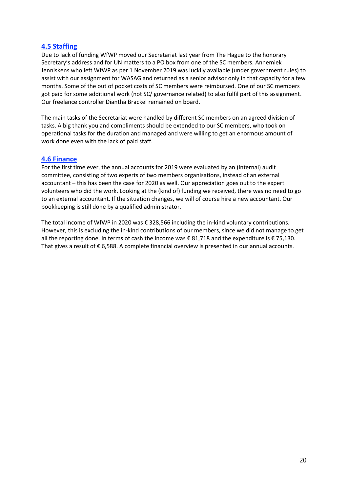#### <span id="page-19-0"></span>**4.5 Staffing**

Due to lack of funding WfWP moved our Secretariat last year from The Hague to the honorary Secretary's address and for UN matters to a PO box from one of the SC members. Annemiek Jenniskens who left WfWP as per 1 November 2019 was luckily available (under government rules) to assist with our assignment for WASAG and returned as a senior advisor only in that capacity for a few months. Some of the out of pocket costs of SC members were reimbursed. One of our SC members got paid for some additional work (not SC/ governance related) to also fulfil part of this assignment. Our freelance controller Diantha Brackel remained on board.

The main tasks of the Secretariat were handled by different SC members on an agreed division of tasks. A big thank you and compliments should be extended to our SC members, who took on operational tasks for the duration and managed and were willing to get an enormous amount of work done even with the lack of paid staff.

#### <span id="page-19-1"></span>**4.6 Finance**

For the first time ever, the annual accounts for 2019 were evaluated by an (internal) audit committee, consisting of two experts of two members organisations, instead of an external accountant – this has been the case for 2020 as well. Our appreciation goes out to the expert volunteers who did the work. Looking at the (kind of) funding we received, there was no need to go to an external accountant. If the situation changes, we will of course hire a new accountant. Our bookkeeping is still done by a qualified administrator.

The total income of WfWP in 2020 was € 328,566 including the in-kind voluntary contributions. However, this is excluding the in-kind contributions of our members, since we did not manage to get all the reporting done. In terms of cash the income was €81,718 and the expenditure is €75,130. That gives a result of € 6,588. A complete financial overview is presented in our annual accounts.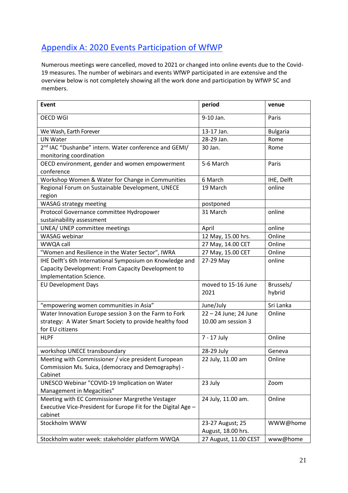## <span id="page-20-0"></span>Appendix A: 2020 Events Participation of WfWP

Numerous meetings were cancelled, moved to 2021 or changed into online events due to the Covid-19 measures. The number of webinars and events WfWP participated in are extensive and the overview below is not completely showing all the work done and participation by WfWP SC and members.

| Event                                                             | period                | venue           |
|-------------------------------------------------------------------|-----------------------|-----------------|
| <b>OECD WGI</b>                                                   | 9-10 Jan.             | Paris           |
| We Wash, Earth Forever                                            | 13-17 Jan.            | <b>Bulgaria</b> |
| <b>UN Water</b>                                                   | 28-29 Jan.            | Rome            |
| 2 <sup>nd</sup> IAC "Dushanbe" intern. Water conference and GEMI/ | 30 Jan.               | Rome            |
| monitoring coordination                                           |                       |                 |
| OECD environment, gender and women empowerment                    | 5-6 March             | Paris           |
| conference                                                        |                       |                 |
| Workshop Women & Water for Change in Communities                  | 6 March               | IHE, Delft      |
| Regional Forum on Sustainable Development, UNECE                  | 19 March              | online          |
| region                                                            |                       |                 |
| <b>WASAG strategy meeting</b>                                     | postponed             |                 |
| Protocol Governance committee Hydropower                          | 31 March              | online          |
| sustainability assessment                                         |                       |                 |
| UNEA/ UNEP committee meetings                                     | April                 | online          |
| <b>WASAG</b> webinar                                              | 12 May, 15.00 hrs.    | Online          |
| WWQA call                                                         | 27 May, 14.00 CET     | Online          |
| "Women and Resilience in the Water Sector", IWRA                  | 27 May, 15.00 CET     | Online          |
| IHE Delft's 6th International Symposium on Knowledge and          | 27-29 May             | online          |
| Capacity Development: From Capacity Development to                |                       |                 |
| Implementation Science.                                           |                       |                 |
| <b>EU Development Days</b>                                        | moved to 15-16 June   | Brussels/       |
|                                                                   | 2021                  | hybrid          |
| "empowering women communities in Asia"                            | June/July             | Sri Lanka       |
| Water Innovation Europe session 3 on the Farm to Fork             | 22 - 24 June; 24 June | Online          |
| strategy: A Water Smart Society to provide healthy food           | 10.00 am session 3    |                 |
| for EU citizens                                                   |                       |                 |
| <b>HLPF</b>                                                       | 7 - 17 July           | Online          |
| workshop UNECE transboundary                                      | 28-29 July            | Geneva          |
| Meeting with Commissioner / vice president European               | 22 July, 11.00 am     | Online          |
| Commission Ms. Suica, (democracy and Demography) -                |                       |                 |
| Cabinet                                                           |                       |                 |
| UNESCO Webinar "COVID-19 Implication on Water                     | 23 July               | Zoom            |
| Management in Megacities"                                         |                       |                 |
| Meeting with EC Commissioner Margrethe Vestager                   | 24 July, 11.00 am.    | Online          |
| Executive Vice-President for Europe Fit for the Digital Age -     |                       |                 |
| cabinet                                                           |                       |                 |
| Stockholm WWW                                                     | 23-27 August; 25      | WWW@home        |
|                                                                   | August, 18.00 hrs.    |                 |
| Stockholm water week: stakeholder platform WWQA                   | 27 August, 11.00 CEST | www@home        |